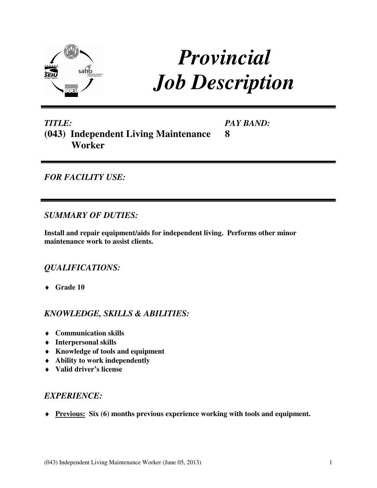

# *Provincial Job Description*

**8** 

# *TITLE:*  **(043) Independent Living Maintenance Worker**

*PAY BAND:* 

## *FOR FACILITY USE:*

#### *SUMMARY OF DUTIES:*

**Install and repair equipment/aids for independent living. Performs other minor maintenance work to assist clients.** 

## *QUALIFICATIONS:*

♦ **Grade 10** 

## *KNOWLEDGE, SKILLS & ABILITIES:*

- ♦ **Communication skills**
- ♦ **Interpersonal skills**
- ♦ **Knowledge of tools and equipment**
- ♦ **Ability to work independently**
- ♦ **Valid driver's license**

## *EXPERIENCE:*

♦ **Previous: Six (6) months previous experience working with tools and equipment.**